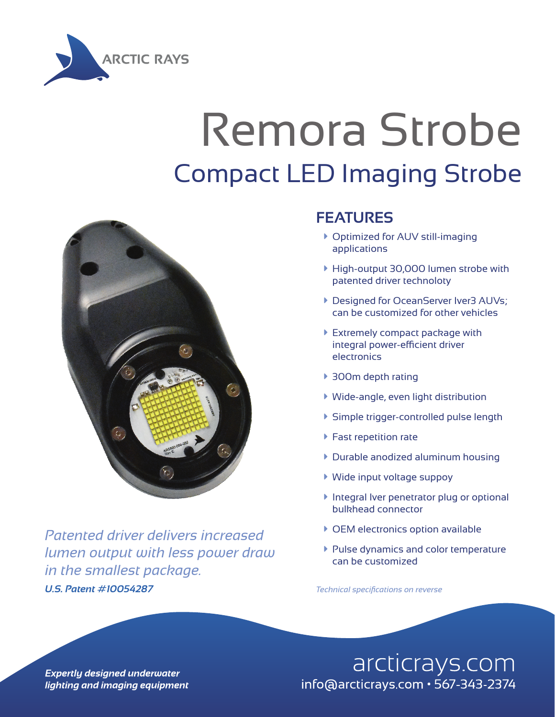

## Remora Strobe Compact LED Imaging Strobe



*U.S. Patent #10054287 Technical specifications on reverse Patented driver delivers increased lumen output with less power draw in the smallest package.*

## **FEATURES**

- ▶ Optimized for AUV still-imaging applications
- à High-output 30,000 lumen strobe with patented driver technoloty
- **Designed for OceanServer Iver3 AUVs;** can be customized for other vehicles
- **Extremely compact package with** integral power-efficient driver electronics
- ▶ 300m depth rating
- $\blacktriangleright$  Wide-angle, even light distribution
- à Simple trigger-controlled pulse length
- $\blacktriangleright$  Fast repetition rate
- $\triangleright$  Durable anodized aluminum housing
- à Wide input voltage suppoy
- **Integral Iver penetrator plug or optional** bulkhead connector
- $\triangleright$  OEM electronics option available
- à Pulse dynamics and color temperature can be customized

arcticrays.com info@arcticrays.com · 567-343-2374

**Expertly designed underwater** lighting and imaging equipment